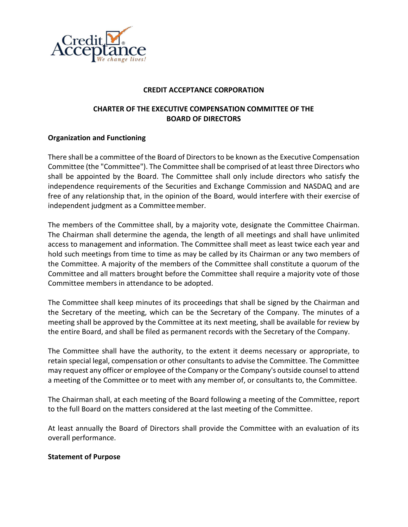

### CREDIT ACCEPTANCE CORPORATION

# CHARTER OF THE EXECUTIVE COMPENSATION COMMITTEE OF THE BOARD OF DIRECTORS

## Organization and Functioning

There shall be a committee of the Board of Directors to be known as the Executive Compensation Committee (the "Committee"). The Committee shall be comprised of at least three Directors who shall be appointed by the Board. The Committee shall only include directors who satisfy the independence requirements of the Securities and Exchange Commission and NASDAQ and are free of any relationship that, in the opinion of the Board, would interfere with their exercise of independent judgment as a Committee member.

The members of the Committee shall, by a majority vote, designate the Committee Chairman. The Chairman shall determine the agenda, the length of all meetings and shall have unlimited access to management and information. The Committee shall meet as least twice each year and hold such meetings from time to time as may be called by its Chairman or any two members of the Committee. A majority of the members of the Committee shall constitute a quorum of the Committee and all matters brought before the Committee shall require a majority vote of those Committee members in attendance to be adopted.

The Committee shall keep minutes of its proceedings that shall be signed by the Chairman and the Secretary of the meeting, which can be the Secretary of the Company. The minutes of a meeting shall be approved by the Committee at its next meeting, shall be available for review by the entire Board, and shall be filed as permanent records with the Secretary of the Company.

The Committee shall have the authority, to the extent it deems necessary or appropriate, to retain special legal, compensation or other consultants to advise the Committee. The Committee may request any officer or employee of the Company or the Company's outside counsel to attend a meeting of the Committee or to meet with any member of, or consultants to, the Committee.

The Chairman shall, at each meeting of the Board following a meeting of the Committee, report to the full Board on the matters considered at the last meeting of the Committee.

At least annually the Board of Directors shall provide the Committee with an evaluation of its overall performance.

#### Statement of Purpose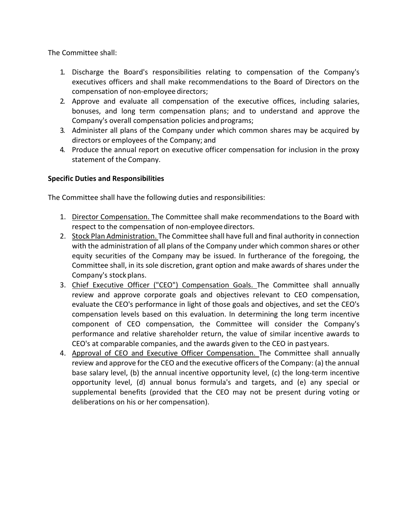The Committee shall:

- 1. Discharge the Board's responsibilities relating to compensation of the Company's executives officers and shall make recommendations to the Board of Directors on the compensation of non-employee directors;
- 2. Approve and evaluate all compensation of the executive offices, including salaries, bonuses, and long term compensation plans; and to understand and approve the Company's overall compensation policies and programs;
- 3. Administer all plans of the Company under which common shares may be acquired by directors or employees of the Company; and
- 4. Produce the annual report on executive officer compensation for inclusion in the proxy statement of the Company.

# Specific Duties and Responsibilities

The Committee shall have the following duties and responsibilities:

- 1. Director Compensation. The Committee shall make recommendations to the Board with respect to the compensation of non-employee directors.
- 2. Stock Plan Administration. The Committee shall have full and final authority in connection with the administration of all plans of the Company under which common shares or other equity securities of the Company may be issued. In furtherance of the foregoing, the Committee shall, in its sole discretion, grant option and make awards of shares under the Company's stock plans.
- 3. Chief Executive Officer ("CEO") Compensation Goals. The Committee shall annually review and approve corporate goals and objectives relevant to CEO compensation, evaluate the CEO's performance in light of those goals and objectives, and set the CEO's compensation levels based on this evaluation. In determining the long term incentive component of CEO compensation, the Committee will consider the Company's performance and relative shareholder return, the value of similar incentive awards to CEO's at comparable companies, and the awards given to the CEO in past years.
- 4. Approval of CEO and Executive Officer Compensation. The Committee shall annually review and approve for the CEO and the executive officers of the Company: (a) the annual base salary level, (b) the annual incentive opportunity level, (c) the long-term incentive opportunity level, (d) annual bonus formula's and targets, and (e) any special or supplemental benefits (provided that the CEO may not be present during voting or deliberations on his or her compensation).